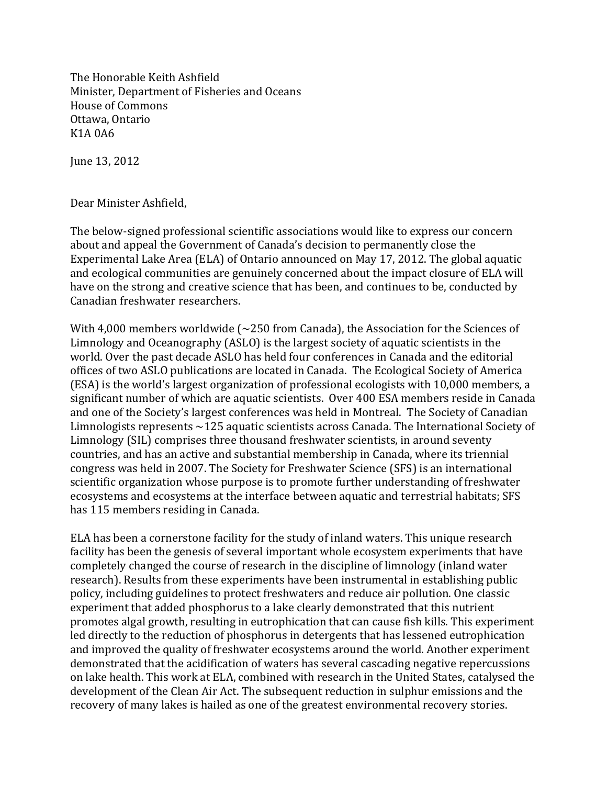The Honorable Keith Ashfield Minister, Department of Fisheries and Oceans House of Commons Ottawa, Ontario K<sub>1</sub>A 0A6

June 13, 2012

Dear Minister Ashfield,

The below-signed professional scientific associations would like to express our concern about and appeal the Government of Canada's decision to permanently close the Experimental Lake Area (ELA) of Ontario announced on May 17, 2012. The global aquatic and ecological communities are genuinely concerned about the impact closure of ELA will have on the strong and creative science that has been, and continues to be, conducted by Canadian freshwater researchers.

With 4,000 members worldwide  $\sim$  250 from Canada), the Association for the Sciences of Limnology and Oceanography (ASLO) is the largest society of aquatic scientists in the world. Over the past decade ASLO has held four conferences in Canada and the editorial offices of two ASLO publications are located in Canada. The Ecological Society of America (ESA) is the world's largest organization of professional ecologists with 10,000 members, a significant number of which are aquatic scientists. Over 400 ESA members reside in Canada and one of the Society's largest conferences was held in Montreal. The Society of Canadian Limnologists represents  $\sim$ 125 aquatic scientists across Canada. The International Society of Limnology (SIL) comprises three thousand freshwater scientists, in around seventy countries, and has an active and substantial membership in Canada, where its triennial congress was held in 2007. The Society for Freshwater Science (SFS) is an international scientific organization whose purpose is to promote further understanding of freshwater ecosystems and ecosystems at the interface between aquatic and terrestrial habitats; SFS has 115 members residing in Canada.

ELA has been a cornerstone facility for the study of inland waters. This unique research facility has been the genesis of several important whole ecosystem experiments that have completely changed the course of research in the discipline of limnology (inland water research). Results from these experiments have been instrumental in establishing public policy, including guidelines to protect freshwaters and reduce air pollution. One classic experiment that added phosphorus to a lake clearly demonstrated that this nutrient promotes algal growth, resulting in eutrophication that can cause fish kills. This experiment led directly to the reduction of phosphorus in detergents that has lessened eutrophication and improved the quality of freshwater ecosystems around the world. Another experiment demonstrated that the acidification of waters has several cascading negative repercussions on lake health. This work at ELA, combined with research in the United States, catalysed the development of the Clean Air Act. The subsequent reduction in sulphur emissions and the recovery of many lakes is hailed as one of the greatest environmental recovery stories.